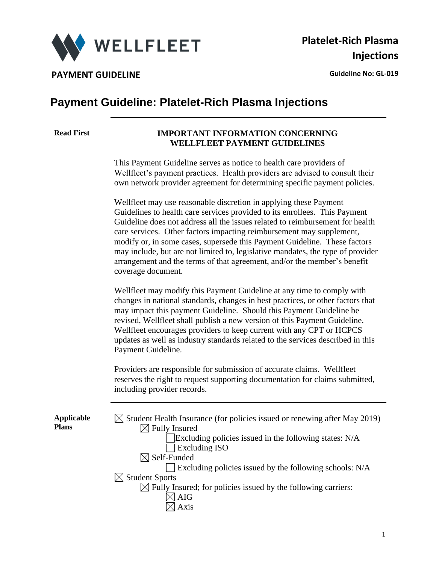

# **Payment Guideline: Platelet-Rich Plasma Injections**

#### **Read First IMPORTANT INFORMATION CONCERNING WELLFLEET PAYMENT GUIDELINES**

This Payment Guideline serves as notice to health care providers of Wellfleet's payment practices. Health providers are advised to consult their own network provider agreement for determining specific payment policies.

Wellfleet may use reasonable discretion in applying these Payment Guidelines to health care services provided to its enrollees. This Payment Guideline does not address all the issues related to reimbursement for health care services. Other factors impacting reimbursement may supplement, modify or, in some cases, supersede this Payment Guideline. These factors may include, but are not limited to, legislative mandates, the type of provider arrangement and the terms of that agreement, and/or the member's benefit coverage document.

Wellfleet may modify this Payment Guideline at any time to comply with changes in national standards, changes in best practices, or other factors that may impact this payment Guideline. Should this Payment Guideline be revised, Wellfleet shall publish a new version of this Payment Guideline. Wellfleet encourages providers to keep current with any CPT or HCPCS updates as well as industry standards related to the services described in this Payment Guideline.

Providers are responsible for submission of accurate claims. Wellfleet reserves the right to request supporting documentation for claims submitted, including provider records.

**Applicable Plans**

| $\boxtimes$ Student Health Insurance (for policies issued or renewing after May 2019) |
|---------------------------------------------------------------------------------------|
| $\boxtimes$ Fully Insured                                                             |
| Excluding policies issued in the following states: N/A                                |
| <b>Excluding ISO</b>                                                                  |
| $\boxtimes$ Self-Funded                                                               |
| $\Box$ Excluding policies issued by the following schools: N/A                        |
| $\boxtimes$ Student Sports                                                            |
| $\boxtimes$ Fully Insured; for policies issued by the following carriers:             |
| AIG                                                                                   |
| Avie                                                                                  |
|                                                                                       |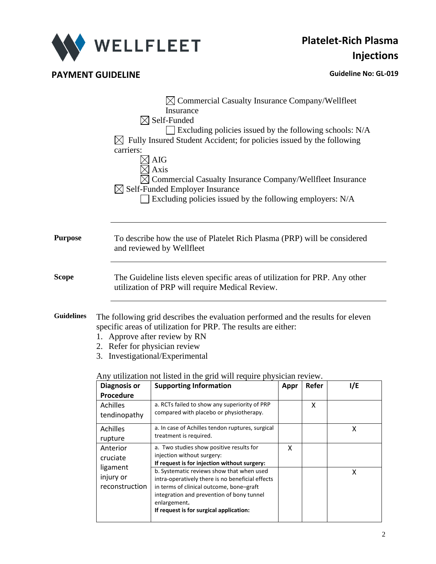

## **PAYMENT GUIDELINE CONSUMING A REPORT OF A REPORT OF A REPORT OF A REPORT OF A REPORT OF A REPORT OF A REPORT OF A REPORT OF A REPORT OF A REPORT OF A REPORT OF A REPORT OF A REPORT OF A REPORT OF A REPORT OF A REPORT OF**

|                   | $\boxtimes$ Commercial Casualty Insurance Company/Wellfleet<br>Insurance<br>$\boxtimes$ Self-Funded<br>$\Box$ Excluding policies issued by the following schools: N/A<br>Fully Insured Student Accident; for policies issued by the following<br>carriers:<br>AIG<br>Axis<br>Commercial Casualty Insurance Company/Wellfleet Insurance<br>$\boxtimes$ Self-Funded Employer Insurance<br>Excluding policies issued by the following employers: N/A |
|-------------------|---------------------------------------------------------------------------------------------------------------------------------------------------------------------------------------------------------------------------------------------------------------------------------------------------------------------------------------------------------------------------------------------------------------------------------------------------|
| <b>Purpose</b>    | To describe how the use of Platelet Rich Plasma (PRP) will be considered<br>and reviewed by Wellfleet                                                                                                                                                                                                                                                                                                                                             |
| <b>Scope</b>      | The Guideline lists eleven specific areas of utilization for PRP. Any other<br>utilization of PRP will require Medical Review.                                                                                                                                                                                                                                                                                                                    |
| <b>Guidelines</b> | The following grid describes the evaluation performed and the results for eleven<br>specific areas of utilization for PRP. The results are either:<br>1. Approve after review by RN<br>2. Refer for physician review<br>Investigational/Experimental<br>3.                                                                                                                                                                                        |

| <b>Diagnosis or</b> | <b>Supporting Information</b>                    | Appr | Refer | 1/E |
|---------------------|--------------------------------------------------|------|-------|-----|
| Procedure           |                                                  |      |       |     |
| Achilles            | a. RCTs failed to show any superiority of PRP    |      | x     |     |
| tendinopathy        | compared with placebo or physiotherapy.          |      |       |     |
| <b>Achilles</b>     | a. In case of Achilles tendon ruptures, surgical |      |       | X   |
| rupture             | treatment is required.                           |      |       |     |
| Anterior            | a. Two studies show positive results for         | x    |       |     |
| cruciate            | injection without surgery:                       |      |       |     |
| ligament            | If request is for injection without surgery:     |      |       |     |
|                     | b. Systematic reviews show that when used        |      |       | x   |
| injury or           | intra-operatively there is no beneficial effects |      |       |     |
| reconstruction      | in terms of clinical outcome, bone-graft         |      |       |     |
|                     | integration and prevention of bony tunnel        |      |       |     |
|                     | enlargement.                                     |      |       |     |
|                     | If request is for surgical application:          |      |       |     |
|                     |                                                  |      |       |     |

Any utilization not listed in the grid will require physician review.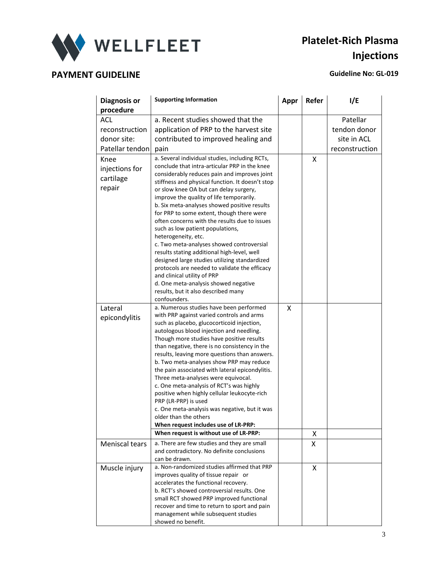

# **Platelet-Rich Plasma Injections**

# **PAYMENT GUIDELINE CONSUMING A REPORT OF A REPORT OF A REPORT OF A REPORT OF A REPORT OF A REPORT OF A REPORT OF A REPORT OF A REPORT OF A REPORT OF A REPORT OF A REPORT OF A REPORT OF A REPORT OF A REPORT OF A REPORT OF**

| <b>Diagnosis or</b><br>procedure              | <b>Supporting Information</b>                                                                                                                                                                                                                                                                                                                                                                                                                                                                                                                                                                                                                                                                                                                                           | Appr | Refer | 1/E            |
|-----------------------------------------------|-------------------------------------------------------------------------------------------------------------------------------------------------------------------------------------------------------------------------------------------------------------------------------------------------------------------------------------------------------------------------------------------------------------------------------------------------------------------------------------------------------------------------------------------------------------------------------------------------------------------------------------------------------------------------------------------------------------------------------------------------------------------------|------|-------|----------------|
| <b>ACL</b>                                    | a. Recent studies showed that the                                                                                                                                                                                                                                                                                                                                                                                                                                                                                                                                                                                                                                                                                                                                       |      |       | Patellar       |
|                                               |                                                                                                                                                                                                                                                                                                                                                                                                                                                                                                                                                                                                                                                                                                                                                                         |      |       |                |
| reconstruction                                | application of PRP to the harvest site                                                                                                                                                                                                                                                                                                                                                                                                                                                                                                                                                                                                                                                                                                                                  |      |       | tendon donor   |
| donor site:                                   | contributed to improved healing and                                                                                                                                                                                                                                                                                                                                                                                                                                                                                                                                                                                                                                                                                                                                     |      |       | site in ACL    |
| Patellar tendon                               | pain                                                                                                                                                                                                                                                                                                                                                                                                                                                                                                                                                                                                                                                                                                                                                                    |      |       | reconstruction |
| Knee<br>injections for<br>cartilage<br>repair | a. Several individual studies, including RCTs,<br>conclude that intra-articular PRP in the knee<br>considerably reduces pain and improves joint<br>stiffness and physical function. It doesn't stop<br>or slow knee OA but can delay surgery,<br>improve the quality of life temporarily.<br>b. Six meta-analyses showed positive results<br>for PRP to some extent, though there were<br>often concerns with the results due to issues<br>such as low patient populations,<br>heterogeneity, etc.<br>c. Two meta-analyses showed controversial<br>results stating additional high-level, well<br>designed large studies utilizing standardized<br>protocols are needed to validate the efficacy<br>and clinical utility of PRP<br>d. One meta-analysis showed negative |      | x     |                |
|                                               | results, but it also described many<br>confounders.                                                                                                                                                                                                                                                                                                                                                                                                                                                                                                                                                                                                                                                                                                                     |      |       |                |
| Lateral                                       | a. Numerous studies have been performed                                                                                                                                                                                                                                                                                                                                                                                                                                                                                                                                                                                                                                                                                                                                 | x    |       |                |
| epicondylitis                                 | with PRP against varied controls and arms<br>such as placebo, glucocorticoid injection,<br>autologous blood injection and needling.<br>Though more studies have positive results<br>than negative, there is no consistency in the<br>results, leaving more questions than answers.<br>b. Two meta-analyses show PRP may reduce<br>the pain associated with lateral epicondylitis.<br>Three meta-analyses were equivocal.<br>c. One meta-analysis of RCT's was highly<br>positive when highly cellular leukocyte-rich<br>PRP (LR-PRP) is used<br>c. One meta-analysis was negative, but it was<br>older than the others<br>When request includes use of LR-PRP:<br>When request is without use of LR-PRP:                                                                |      | x     |                |
| Meniscal tears                                | a. There are few studies and they are small                                                                                                                                                                                                                                                                                                                                                                                                                                                                                                                                                                                                                                                                                                                             |      | X     |                |
|                                               | and contradictory. No definite conclusions<br>can be drawn.                                                                                                                                                                                                                                                                                                                                                                                                                                                                                                                                                                                                                                                                                                             |      |       |                |
| Muscle injury                                 | a. Non-randomized studies affirmed that PRP<br>improves quality of tissue repair or<br>accelerates the functional recovery.<br>b. RCT's showed controversial results. One<br>small RCT showed PRP improved functional<br>recover and time to return to sport and pain<br>management while subsequent studies<br>showed no benefit.                                                                                                                                                                                                                                                                                                                                                                                                                                      |      | X     |                |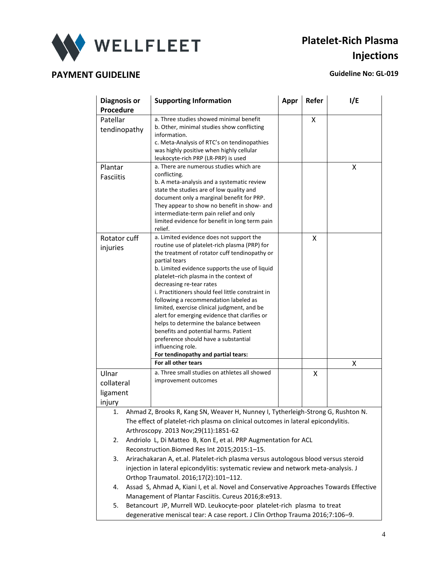

# **Platelet-Rich Plasma Injections**

| <b>Diagnosis or</b><br>Procedure                                                  | <b>Supporting Information</b>                                                                                                                                                                                                                                                                                                                                                                                                                                                                                                                                                                                                                                                                   | Appr | Refer | 1/E |
|-----------------------------------------------------------------------------------|-------------------------------------------------------------------------------------------------------------------------------------------------------------------------------------------------------------------------------------------------------------------------------------------------------------------------------------------------------------------------------------------------------------------------------------------------------------------------------------------------------------------------------------------------------------------------------------------------------------------------------------------------------------------------------------------------|------|-------|-----|
| Patellar<br>tendinopathy                                                          | a. Three studies showed minimal benefit<br>b. Other, minimal studies show conflicting<br>information.<br>c. Meta-Analysis of RTC's on tendinopathies<br>was highly positive when highly cellular<br>leukocyte-rich PRP (LR-PRP) is used                                                                                                                                                                                                                                                                                                                                                                                                                                                         |      | X     |     |
| Plantar<br><b>Fasciitis</b>                                                       | a. There are numerous studies which are<br>conflicting.<br>b. A meta-analysis and a systematic review<br>state the studies are of low quality and<br>document only a marginal benefit for PRP.<br>They appear to show no benefit in show- and<br>intermediate-term pain relief and only<br>limited evidence for benefit in long term pain<br>relief.                                                                                                                                                                                                                                                                                                                                            |      |       | x   |
| Rotator cuff<br>injuries                                                          | a. Limited evidence does not support the<br>routine use of platelet-rich plasma (PRP) for<br>the treatment of rotator cuff tendinopathy or<br>partial tears<br>b. Limited evidence supports the use of liquid<br>platelet-rich plasma in the context of<br>decreasing re-tear rates<br>i. Practitioners should feel little constraint in<br>following a recommendation labeled as<br>limited, exercise clinical judgment, and be<br>alert for emerging evidence that clarifies or<br>helps to determine the balance between<br>benefits and potential harms. Patient<br>preference should have a substantial<br>influencing role.<br>For tendinopathy and partial tears:<br>For all other tears |      | x     | x   |
| Ulnar                                                                             | a. Three small studies on athletes all showed                                                                                                                                                                                                                                                                                                                                                                                                                                                                                                                                                                                                                                                   |      | X     |     |
| collateral                                                                        | improvement outcomes                                                                                                                                                                                                                                                                                                                                                                                                                                                                                                                                                                                                                                                                            |      |       |     |
| ligament                                                                          |                                                                                                                                                                                                                                                                                                                                                                                                                                                                                                                                                                                                                                                                                                 |      |       |     |
| injury                                                                            |                                                                                                                                                                                                                                                                                                                                                                                                                                                                                                                                                                                                                                                                                                 |      |       |     |
| 1.                                                                                | Ahmad Z, Brooks R, Kang SN, Weaver H, Nunney I, Tytherleigh-Strong G, Rushton N.                                                                                                                                                                                                                                                                                                                                                                                                                                                                                                                                                                                                                |      |       |     |
| The effect of platelet-rich plasma on clinical outcomes in lateral epicondylitis. |                                                                                                                                                                                                                                                                                                                                                                                                                                                                                                                                                                                                                                                                                                 |      |       |     |
| Arthroscopy. 2013 Nov;29(11):1851-62                                              |                                                                                                                                                                                                                                                                                                                                                                                                                                                                                                                                                                                                                                                                                                 |      |       |     |
| Andriolo L, Di Matteo B, Kon E, et al. PRP Augmentation for ACL<br>2.             |                                                                                                                                                                                                                                                                                                                                                                                                                                                                                                                                                                                                                                                                                                 |      |       |     |
| Reconstruction. Biomed Res Int 2015;2015:1-15.                                    |                                                                                                                                                                                                                                                                                                                                                                                                                                                                                                                                                                                                                                                                                                 |      |       |     |
|                                                                                   | Arirachakaran A, et.al. Platelet-rich plasma versus autologous blood versus steroid<br>3.<br>injection in lateral epicondylitis: systematic review and network meta-analysis. J                                                                                                                                                                                                                                                                                                                                                                                                                                                                                                                 |      |       |     |
|                                                                                   | Orthop Traumatol. 2016;17(2):101-112.                                                                                                                                                                                                                                                                                                                                                                                                                                                                                                                                                                                                                                                           |      |       |     |
| 4.                                                                                | Assad S, Ahmad A, Kiani I, et al. Novel and Conservative Approaches Towards Effective                                                                                                                                                                                                                                                                                                                                                                                                                                                                                                                                                                                                           |      |       |     |
|                                                                                   | Management of Plantar Fasciitis. Cureus 2016;8:e913.                                                                                                                                                                                                                                                                                                                                                                                                                                                                                                                                                                                                                                            |      |       |     |
| 5.                                                                                | Betancourt JP, Murrell WD. Leukocyte-poor platelet-rich plasma to treat                                                                                                                                                                                                                                                                                                                                                                                                                                                                                                                                                                                                                         |      |       |     |
|                                                                                   | degenerative meniscal tear: A case report. J Clin Orthop Trauma 2016;7:106-9.                                                                                                                                                                                                                                                                                                                                                                                                                                                                                                                                                                                                                   |      |       |     |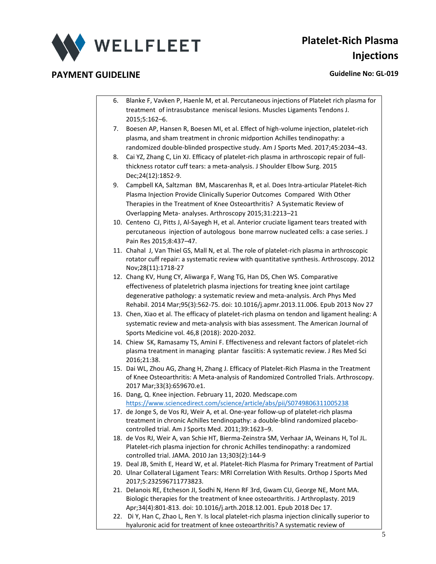

- 6. Blanke F, Vavken P, Haenle M, et al. Percutaneous injections of Platelet rich plasma for treatment of intrasubstance meniscal lesions. Muscles Ligaments Tendons J. 2015;5:162–6.
	- 7. Boesen AP, Hansen R, Boesen MI, et al. Effect of high-volume injection, platelet-rich plasma, and sham treatment in chronic midportion Achilles tendinopathy: a randomized double-blinded prospective study. Am J Sports Med. 2017;45:2034–43.
	- 8. Cai YZ, Zhang C, Lin XJ. Efficacy of platelet-rich plasma in arthroscopic repair of fullthickness rotator cuff tears: a meta-analysis. J Shoulder Elbow Surg. 2015 Dec;24(12):1852-9.
	- 9. Campbell KA, Saltzman BM, Mascarenhas R, et al. Does Intra-articular Platelet-Rich Plasma Injection Provide Clinically Superior Outcomes Compared With Other Therapies in the Treatment of Knee Osteoarthritis? A Systematic Review of Overlapping Meta- analyses. Arthroscopy 2015;31:2213–21
	- 10. Centeno CJ, Pitts J, Al-Sayegh H, et al. Anterior cruciate ligament tears treated with percutaneous injection of autologous bone marrow nucleated cells: a case series. J Pain Res 2015;8:437–47.
	- 11. Chahal J, Van Thiel GS, Mall N, et al. The role of platelet-rich plasma in arthroscopic rotator cuff repair: a systematic review with quantitative synthesis. Arthroscopy. 2012 Nov;28(11):1718-27
	- 12. Chang KV, Hung CY, Aliwarga F, Wang TG, Han DS, Chen WS. Comparative effectiveness of plateletrich plasma injections for treating knee joint cartilage degenerative pathology: a systematic review and meta-analysis. Arch Phys Med Rehabil. 2014 Mar;95(3):562-75. doi: 10.1016/j.apmr.2013.11.006. Epub 2013 Nov 27
	- 13. Chen, Xiao et al. The efficacy of platelet-rich plasma on tendon and ligament healing: A systematic review and meta-analysis with bias assessment. The American Journal of Sports Medicine vol. 46,8 (2018): 2020-2032.
	- 14. Chiew SK, Ramasamy TS, Amini F. Effectiveness and relevant factors of platelet-rich plasma treatment in managing plantar fasciitis: A systematic review. J Res Med Sci 2016;21:38.
	- 15. Dai WL, Zhou AG, Zhang H, Zhang J. Efficacy of Platelet-Rich Plasma in the Treatment of Knee Osteoarthritis: A Meta-analysis of Randomized Controlled Trials. Arthroscopy. 2017 Mar;33(3):659670.e1.
	- 16. Dang, Q. Knee injection. February 11, 2020. Medscape.com <https://www.sciencedirect.com/science/article/abs/pii/S0749806311005238>
	- 17. de Jonge S, de Vos RJ, Weir A, et al. One-year follow-up of platelet-rich plasma treatment in chronic Achilles tendinopathy: a double-blind randomized placebocontrolled trial. Am J Sports Med. 2011;39:1623–9.
	- 18. de Vos RJ, Weir A, van Schie HT, Bierma-Zeinstra SM, Verhaar JA, Weinans H, Tol JL. Platelet-rich plasma injection for chronic Achilles tendinopathy: a randomized controlled trial. JAMA. 2010 Jan 13;303(2):144-9
	- 19. Deal JB, Smith E, Heard W, et al. Platelet-Rich Plasma for Primary Treatment of Partial
	- 20. Ulnar Collateral Ligament Tears: MRI Correlation With Results. Orthop J Sports Med 2017;5:232596711773823.
	- 21. Delanois RE, Etcheson JI, Sodhi N, Henn RF 3rd, Gwam CU, George NE, Mont MA. Biologic therapies for the treatment of knee osteoarthritis. J Arthroplasty. 2019 Apr;34(4):801-813. doi: 10.1016/j.arth.2018.12.001. Epub 2018 Dec 17.
	- 22. Di Y, Han C, Zhao L, Ren Y. Is local platelet-rich plasma injection clinically superior to hyaluronic acid for treatment of knee osteoarthritis? A systematic review of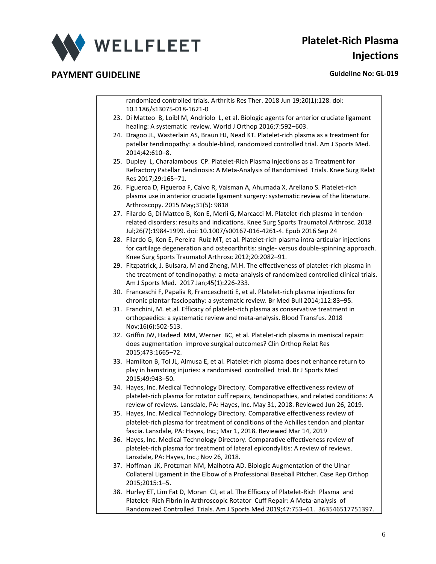

randomized controlled trials. Arthritis Res Ther. 2018 Jun 19;20(1):128. doi: 10.1186/s13075-018-1621-0

- 23. Di Matteo B, Loibl M, Andriolo L, et al. Biologic agents for anterior cruciate ligament healing: A systematic review. World J Orthop 2016;7:592–603.
- 24. Dragoo JL, Wasterlain AS, Braun HJ, Nead KT. Platelet-rich plasma as a treatment for patellar tendinopathy: a double-blind, randomized controlled trial. Am J Sports Med. 2014;42:610–8.
- 25. Dupley L, Charalambous CP. Platelet-Rich Plasma Injections as a Treatment for Refractory Patellar Tendinosis: A Meta-Analysis of Randomised Trials. Knee Surg Relat Res 2017;29:165–71.
- 26. Figueroa D, Figueroa F, Calvo R, Vaisman A, Ahumada X, Arellano S. Platelet-rich plasma use in anterior cruciate ligament surgery: systematic review of the literature. Arthroscopy. 2015 May;31(5): 9818
- 27. Filardo G, Di Matteo B, Kon E, Merli G, Marcacci M. Platelet-rich plasma in tendonrelated disorders: results and indications. Knee Surg Sports Traumatol Arthrosc. 2018 Jul;26(7):1984-1999. doi: 10.1007/s00167-016-4261-4. Epub 2016 Sep 24
- 28. Filardo G, Kon E, Pereira Ruiz MT, et al. Platelet-rich plasma intra-articular injections for cartilage degeneration and osteoarthritis: single- versus double-spinning approach. Knee Surg Sports Traumatol Arthrosc 2012;20:2082–91.
- 29. Fitzpatrick, J. Bulsara, M and Zheng, M.H. The effectiveness of platelet-rich plasma in the treatment of tendinopathy: a meta-analysis of randomized controlled clinical trials. Am J Sports Med. 2017 Jan;45(1):226-233.
- 30. Franceschi F, Papalia R, Franceschetti E, et al. Platelet-rich plasma injections for chronic plantar fasciopathy: a systematic review. Br Med Bull 2014;112:83–95.
- 31. Franchini, M. et.al. Efficacy of platelet-rich plasma as conservative treatment in orthopaedics: a systematic review and meta-analysis. Blood Transfus. 2018 Nov;16(6):502-513.
- 32. Griffin JW, Hadeed MM, Werner BC, et al. Platelet-rich plasma in meniscal repair: does augmentation improve surgical outcomes? Clin Orthop Relat Res 2015;473:1665–72.
- 33. Hamilton B, Tol JL, Almusa E, et al. Platelet-rich plasma does not enhance return to play in hamstring injuries: a randomised controlled trial. Br J Sports Med 2015;49:943–50.
- 34. Hayes, Inc. Medical Technology Directory. Comparative effectiveness review of platelet-rich plasma for rotator cuff repairs, tendinopathies, and related conditions: A review of reviews. Lansdale, PA: Hayes, Inc. May 31, 2018. Reviewed Jun 26, 2019.
- 35. Hayes, Inc. Medical Technology Directory. Comparative effectiveness review of platelet-rich plasma for treatment of conditions of the Achilles tendon and plantar fascia. Lansdale, PA: Hayes, Inc.; Mar 1, 2018. Reviewed Mar 14, 2019
- 36. Hayes, Inc. Medical Technology Directory. Comparative effectiveness review of platelet-rich plasma for treatment of lateral epicondylitis: A review of reviews. Lansdale, PA: Hayes, Inc.; Nov 26, 2018.
- 37. Hoffman JK, Protzman NM, Malhotra AD. Biologic Augmentation of the Ulnar Collateral Ligament in the Elbow of a Professional Baseball Pitcher. Case Rep Orthop 2015;2015:1–5.
- 38. Hurley ET, Lim Fat D, Moran CJ, et al. The Efficacy of Platelet-Rich Plasma and Platelet- Rich Fibrin in Arthroscopic Rotator Cuff Repair: A Meta-analysis of Randomized Controlled Trials. Am J Sports Med 2019;47:753–61. 363546517751397.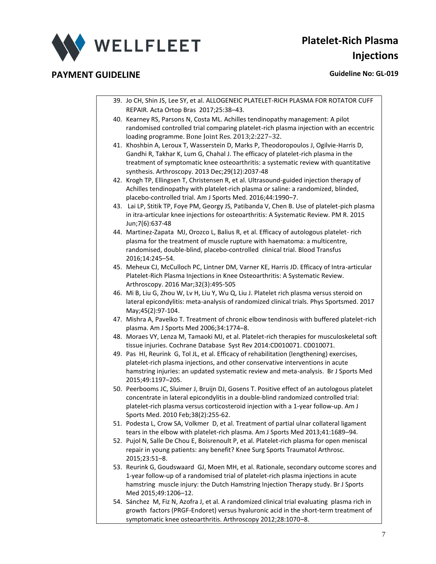

- 39. Jo CH, Shin JS, Lee SY, et al. ALLOGENEIC PLATELET-RICH PLASMA FOR ROTATOR CUFF REPAIR. Acta Ortop Bras 2017;25:38–43.
- 40. Kearney RS, Parsons N, Costa ML. Achilles tendinopathy management: A pilot randomised controlled trial comparing platelet-rich plasma injection with an eccentric loading programme. Bone Joint Res. 2013;2:227–32.
- 41. Khoshbin A, Leroux T, Wasserstein D, Marks P, Theodoropoulos J, Ogilvie-Harris D, Gandhi R, Takhar K, Lum G, Chahal J. The efficacy of platelet-rich plasma in the treatment of symptomatic knee osteoarthritis: a systematic review with quantitative synthesis. Arthroscopy. 2013 Dec;29(12):2037-48
- 42. Krogh TP, Ellingsen T, Christensen R, et al. Ultrasound-guided injection therapy of Achilles tendinopathy with platelet-rich plasma or saline: a randomized, blinded, placebo-controlled trial. Am J Sports Med. 2016;44:1990–7.
- 43. Lai LP, Stitik TP, Foye PM, Georgy JS, Patibanda V, Chen B. Use of platelet-pich plasma in itra-articular knee injections for osteoarthritis: A Systematic Review. PM R. 2015 Jun;7(6):637-48
- 44. Martinez-Zapata MJ, Orozco L, Balius R, et al. Efficacy of autologous platelet- rich plasma for the treatment of muscle rupture with haematoma: a multicentre, randomised, double-blind, placebo-controlled clinical trial. Blood Transfus 2016;14:245–54.
- 45. Meheux CJ, McCulloch PC, Lintner DM, Varner KE, Harris JD. Efficacy of Intra-articular Platelet-Rich Plasma Injections in Knee Osteoarthritis: A Systematic Review. Arthroscopy. 2016 Mar;32(3):495-505
- 46. Mi B, Liu G, Zhou W, Lv H, Liu Y, Wu Q, Liu J. Platelet rich plasma versus steroid on lateral epicondylitis: meta-analysis of randomized clinical trials. Phys Sportsmed. 2017 May;45(2):97-104.
- 47. Mishra A, Pavelko T. Treatment of chronic elbow tendinosis with buffered platelet-rich plasma. Am J Sports Med 2006;34:1774–8.
- 48. Moraes VY, Lenza M, Tamaoki MJ, et al. Platelet-rich therapies for musculoskeletal soft tissue injuries. Cochrane Database Syst Rev 2014:CD010071. CD010071.
- 49. Pas HI, Reurink G, Tol JL, et al. Efficacy of rehabilitation (lengthening) exercises, platelet-rich plasma injections, and other conservative interventions in acute hamstring injuries: an updated systematic review and meta-analysis. Br J Sports Med 2015;49:1197–205.
- 50. Peerbooms JC, Sluimer J, Bruijn DJ, Gosens T. Positive effect of an autologous platelet concentrate in lateral epicondylitis in a double-blind randomized controlled trial: platelet-rich plasma versus corticosteroid injection with a 1-year follow-up. Am J Sports Med. 2010 Feb;38(2):255-62.
- 51. Podesta L, Crow SA, Volkmer D, et al. Treatment of partial ulnar collateral ligament tears in the elbow with platelet-rich plasma. Am J Sports Med 2013;41:1689–94.
- 52. Pujol N, Salle De Chou E, Boisrenoult P, et al. Platelet-rich plasma for open meniscal repair in young patients: any benefit? Knee Surg Sports Traumatol Arthrosc. 2015;23:51–8.
- 53. Reurink G, Goudswaard GJ, Moen MH, et al. Rationale, secondary outcome scores and 1-year follow-up of a randomised trial of platelet-rich plasma injections in acute hamstring muscle injury: the Dutch Hamstring Injection Therapy study. Br J Sports Med 2015;49:1206–12.
- 54. Sánchez M, Fiz N, Azofra J, et al. A randomized clinical trial evaluating plasma rich in growth factors (PRGF-Endoret) versus hyaluronic acid in the short-term treatment of symptomatic knee osteoarthritis. Arthroscopy 2012;28:1070–8.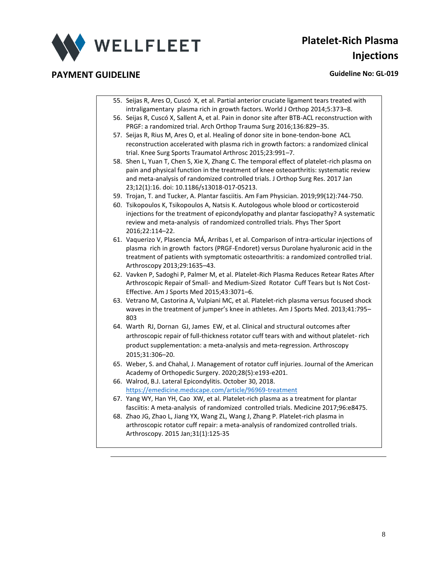

- 55. Seijas R, Ares O, Cuscó X, et al. Partial anterior cruciate ligament tears treated with intraligamentary plasma rich in growth factors. World J Orthop 2014;5:373–8.
- 56. Seijas R, Cuscó X, Sallent A, et al. Pain in donor site after BTB-ACL reconstruction with PRGF: a randomized trial. Arch Orthop Trauma Surg 2016;136:829–35.
- 57. Seijas R, Rius M, Ares O, et al. Healing of donor site in bone-tendon-bone ACL reconstruction accelerated with plasma rich in growth factors: a randomized clinical trial. Knee Surg Sports Traumatol Arthrosc 2015;23:991–7.
- 58. Shen L, Yuan T, Chen S, Xie X, Zhang C. The temporal effect of platelet-rich plasma on pain and physical function in the treatment of knee osteoarthritis: systematic review and meta-analysis of randomized controlled trials. J Orthop Surg Res. 2017 Jan 23;12(1):16. doi: 10.1186/s13018-017-05213.
- 59. Trojan, T. and Tucker, A. Plantar fasciitis. Am Fam Physician. 2019;99(12):744-750.
- 60. Tsikopoulos K, Tsikopoulos A, Natsis K. Autologous whole blood or corticosteroid injections for the treatment of epicondylopathy and plantar fasciopathy? A systematic review and meta-analysis of randomized controlled trials. Phys Ther Sport 2016;22:114–22.
- 61. Vaquerizo V, Plasencia MÁ, Arribas I, et al. Comparison of intra-articular injections of plasma rich in growth factors (PRGF-Endoret) versus Durolane hyaluronic acid in the treatment of patients with symptomatic osteoarthritis: a randomized controlled trial. Arthroscopy 2013;29:1635–43.
- 62. Vavken P, Sadoghi P, Palmer M, et al. Platelet-Rich Plasma Reduces Retear Rates After Arthroscopic Repair of Small- and Medium-Sized Rotator Cuff Tears but Is Not Cost-Effective. Am J Sports Med 2015;43:3071–6.
- 63. Vetrano M, Castorina A, Vulpiani MC, et al. Platelet-rich plasma versus focused shock waves in the treatment of jumper's knee in athletes. Am J Sports Med. 2013;41:795– 803
- 64. Warth RJ, Dornan GJ, James EW, et al. Clinical and structural outcomes after arthroscopic repair of full-thickness rotator cuff tears with and without platelet- rich product supplementation: a meta-analysis and meta-regression. Arthroscopy 2015;31:306–20.
- 65. Weber, S. and Chahal, J. Management of rotator cuff injuries. Journal of the American Academy of Orthopedic Surgery. 2020;28(5):e193-e201.
- 66. Walrod, B.J. Lateral Epicondylitis. October 30, 2018. <https://emedicine.medscape.com/article/96969-treatment>
- 67. Yang WY, Han YH, Cao XW, et al. Platelet-rich plasma as a treatment for plantar fasciitis: A meta-analysis of randomized controlled trials. Medicine 2017;96:e8475.
- 68. Zhao JG, Zhao L, Jiang YX, Wang ZL, Wang J, Zhang P. Platelet-rich plasma in arthroscopic rotator cuff repair: a meta-analysis of randomized controlled trials. Arthroscopy. 2015 Jan;31(1):125-35